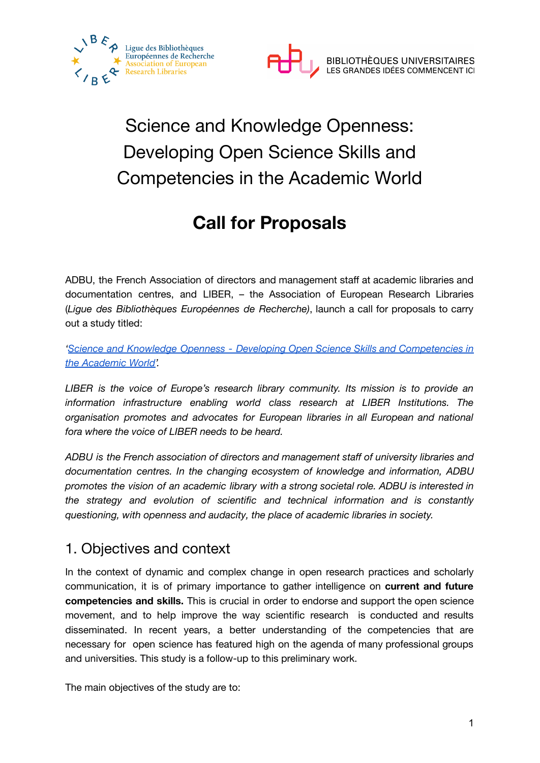



# Science and Knowledge Openness: Developing Open Science Skills and Competencies in the Academic World

## **Call for Proposals**

ADBU, the French Association of directors and management staff at academic libraries and documentation centres, and LIBER, – the Association of European Research Libraries (*Ligue des Bibliothèques Européennes de Recherche)*, launch a call for proposals to carry out a study titled:

*'Science and Knowledge Openness - Developing Open Science Skills and [Competencies](https://adbu.fr/adbu-liber-study) in the [Academic](https://adbu.fr/adbu-liber-study) World'.*

*LIBER is the voice of Europe's research library community. Its mission is to provide an information infrastructure enabling world class research at LIBER Institutions. The organisation promotes and advocates for European libraries in all European and national fora where the voice of LIBER needs to be heard.*

*ADBU is the French association of directors and management staff of university libraries and documentation centres. In the changing ecosystem of knowledge and information, ADBU promotes the vision of an academic library with a strong societal role. ADBU is interested in the strategy and evolution of scientific and technical information and is constantly questioning, with openness and audacity, the place of academic libraries in society.*

### 1. Objectives and context

In the context of dynamic and complex change in open research practices and scholarly communication, it is of primary importance to gather intelligence on **current and future competencies and skills.** This is crucial in order to endorse and support the open science movement, and to help improve the way scientific research is conducted and results disseminated. In recent years, a better understanding of the competencies that are necessary for open science has featured high on the agenda of many professional groups and universities. This study is a follow-up to this preliminary work.

The main objectives of the study are to: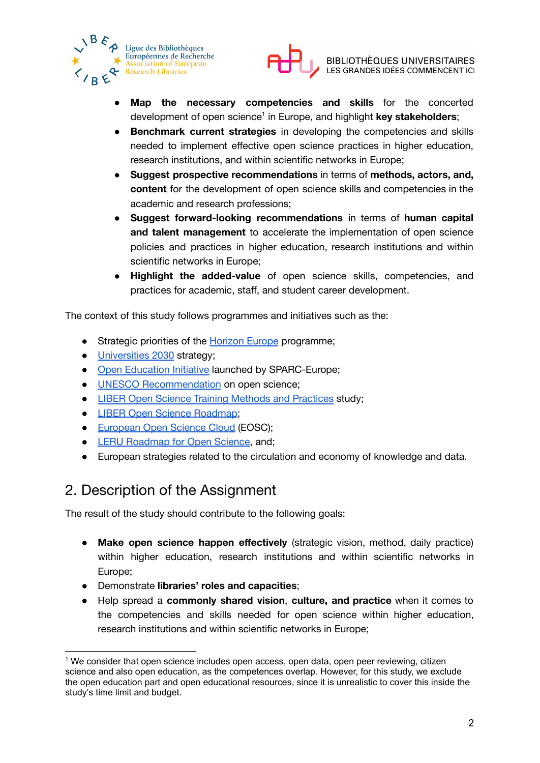



- **Map the necessary competencies and skills** for the concerted development of open science 1 in Europe, and highlight **key stakeholders**;
- **Benchmark current strategies** in developing the competencies and skills needed to implement effective open science practices in higher education, research institutions, and within scientific networks in Europe;
- **Suggest prospective recommendations** in terms of **methods, actors, and, content** for the development of open science skills and competencies in the academic and research professions;
- **Suggest forward-looking recommendations** in terms of **human capital and talent management** to accelerate the implementation of open science policies and practices in higher education, research institutions and within scientific networks in Europe;
- **Highlight the added-value** of open science skills, competencies, and practices for academic, staff, and student career development.

The context of this study follows programmes and initiatives such as the:

- Strategic priorities of the [Horizon](https://ec.europa.eu/info/horizon-europe_en#missions-in-horizon-europe) Europe programme;
- [Universities](https://op.europa.eu/en/publication-detail/-/publication/a3cde934-12a0-11eb-9a54-01aa75ed71a1/) 2030 strategy;
- Open [Education](https://sparceurope.org/what-we-do/open-education/) Initiative launched by SPARC-Europe;
- UNESCO [Recommendation](https://en.unesco.org/science-sustainable-future/open-science/recommendation) on open science;
- LIBER Open Science Training Methods and [Practices](https://zenodo.org/record/3903142#.YG9UrmQzZ25) study;
- LIBER Open Science [Roadmap](https://zenodo.org/record/1303002#.YG3Fl-gzZPZ);
- [European](https://eosc-portal.eu/) Open Science Cloud (EOSC);
- LERU [Roadmap](https://www.leru.org/publications/open-science-and-its-role-in-universities-a-roadmap-for-cultural-change) for Open Science, and;
- European strategies related to the circulation and economy of knowledge and data.

### 2. Description of the Assignment

The result of the study should contribute to the following goals:

- **Make open science happen effectively** (strategic vision, method, daily practice) within higher education, research institutions and within scientific networks in Europe;
- Demonstrate **libraries' roles and capacities**;
- Help spread a **commonly shared vision**, **culture, and practice** when it comes to the competencies and skills needed for open science within higher education, research institutions and within scientific networks in Europe;

<sup>1</sup> We consider that open science includes open access, open data, open peer reviewing, citizen science and also open education, as the competences overlap. However, for this study, we exclude the open education part and open educational resources, since it is unrealistic to cover this inside the study's time limit and budget.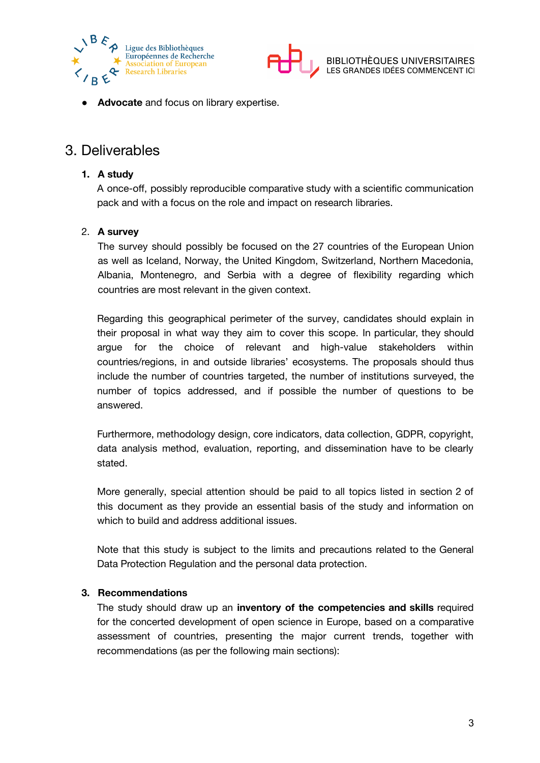



● **Advocate** and focus on library expertise.

### 3. Deliverables

#### **1. A study**

A once-off, possibly reproducible comparative study with a scientific communication pack and with a focus on the role and impact on research libraries.

#### 2. **A survey**

The survey should possibly be focused on the 27 countries of the European Union as well as Iceland, Norway, the United Kingdom, Switzerland, Northern Macedonia, Albania, Montenegro, and Serbia with a degree of flexibility regarding which countries are most relevant in the given context.

Regarding this geographical perimeter of the survey, candidates should explain in their proposal in what way they aim to cover this scope. In particular, they should argue for the choice of relevant and high-value stakeholders within countries/regions, in and outside libraries' ecosystems. The proposals should thus include the number of countries targeted, the number of institutions surveyed, the number of topics addressed, and if possible the number of questions to be answered.

Furthermore, methodology design, core indicators, data collection, GDPR, copyright, data analysis method, evaluation, reporting, and dissemination have to be clearly stated.

More generally, special attention should be paid to all topics listed in section 2 of this document as they provide an essential basis of the study and information on which to build and address additional issues.

Note that this study is subject to the limits and precautions related to the General Data Protection Regulation and the personal data protection.

#### **3. Recommendations**

The study should draw up an **inventory of the competencies and skills** required for the concerted development of open science in Europe, based on a comparative assessment of countries, presenting the major current trends, together with recommendations (as per the following main sections):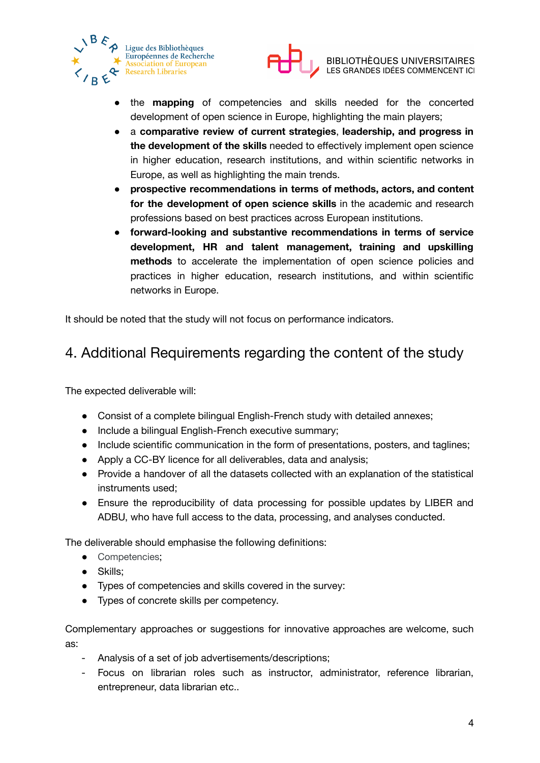



- the **mapping** of competencies and skills needed for the concerted development of open science in Europe, highlighting the main players;
- a **comparative review of current strategies**, **leadership, and progress in the development of the skills** needed to effectively implement open science in higher education, research institutions, and within scientific networks in Europe, as well as highlighting the main trends.
- **prospective recommendations in terms of methods, actors, and content for the development of open science skills** in the academic and research professions based on best practices across European institutions.
- **forward-looking and substantive recommendations in terms of service development, HR and talent management, training and upskilling methods** to accelerate the implementation of open science policies and practices in higher education, research institutions, and within scientific networks in Europe.

It should be noted that the study will not focus on performance indicators.

### 4. Additional Requirements regarding the content of the study

The expected deliverable will:

- Consist of a complete bilingual English-French study with detailed annexes;
- Include a bilingual English-French executive summary;
- Include scientific communication in the form of presentations, posters, and taglines;
- Apply a CC-BY licence for all deliverables, data and analysis;
- Provide a handover of all the datasets collected with an explanation of the statistical instruments used;
- Ensure the reproducibility of data processing for possible updates by LIBER and ADBU, who have full access to the data, processing, and analyses conducted.

The deliverable should emphasise the following definitions:

- Competencies;
- Skills;
- Types of competencies and skills covered in the survey:
- Types of concrete skills per competency.

Complementary approaches or suggestions for innovative approaches are welcome, such as:

- Analysis of a set of job advertisements/descriptions;
- Focus on librarian roles such as instructor, administrator, reference librarian, entrepreneur, data librarian etc..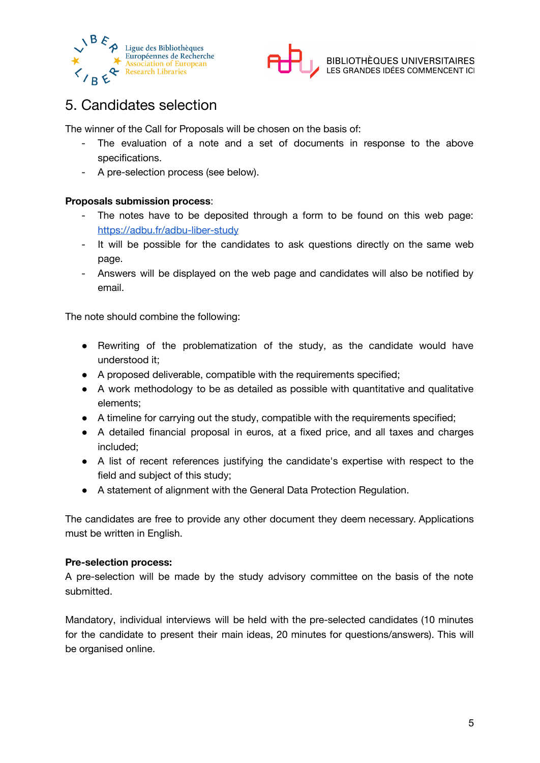



### 5. Candidates selection

The winner of the Call for Proposals will be chosen on the basis of:

- The evaluation of a note and a set of documents in response to the above specifications.
- A pre-selection process (see below).

#### **Proposals submission process**:

- The notes have to be deposited through a form to be found on this web page: <https://adbu.fr/adbu-liber-study>
- It will be possible for the candidates to ask questions directly on the same web page.
- Answers will be displayed on the web page and candidates will also be notified by email.

The note should combine the following:

- Rewriting of the problematization of the study, as the candidate would have understood it;
- A proposed deliverable, compatible with the requirements specified;
- A work methodology to be as detailed as possible with quantitative and qualitative elements;
- A timeline for carrying out the study, compatible with the requirements specified;
- A detailed financial proposal in euros, at a fixed price, and all taxes and charges included;
- A list of recent references justifying the candidate's expertise with respect to the field and subject of this study;
- A statement of alignment with the General Data Protection Regulation.

The candidates are free to provide any other document they deem necessary. Applications must be written in English.

#### **Pre-selection process:**

A pre-selection will be made by the study advisory committee on the basis of the note submitted.

Mandatory, individual interviews will be held with the pre-selected candidates (10 minutes for the candidate to present their main ideas, 20 minutes for questions/answers). This will be organised online.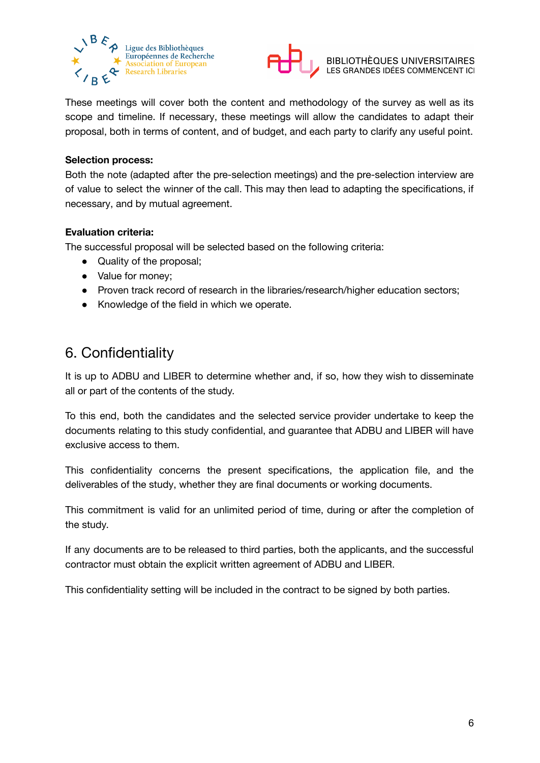



These meetings will cover both the content and methodology of the survey as well as its scope and timeline. If necessary, these meetings will allow the candidates to adapt their proposal, both in terms of content, and of budget, and each party to clarify any useful point.

#### **Selection process:**

Both the note (adapted after the pre-selection meetings) and the pre-selection interview are of value to select the winner of the call. This may then lead to adapting the specifications, if necessary, and by mutual agreement.

#### **Evaluation criteria:**

The successful proposal will be selected based on the following criteria:

- Quality of the proposal;
- Value for money;
- Proven track record of research in the libraries/research/higher education sectors;
- Knowledge of the field in which we operate.

### 6. Confidentiality

It is up to ADBU and LIBER to determine whether and, if so, how they wish to disseminate all or part of the contents of the study.

To this end, both the candidates and the selected service provider undertake to keep the documents relating to this study confidential, and guarantee that ADBU and LIBER will have exclusive access to them.

This confidentiality concerns the present specifications, the application file, and the deliverables of the study, whether they are final documents or working documents.

This commitment is valid for an unlimited period of time, during or after the completion of the study.

If any documents are to be released to third parties, both the applicants, and the successful contractor must obtain the explicit written agreement of ADBU and LIBER.

This confidentiality setting will be included in the contract to be signed by both parties.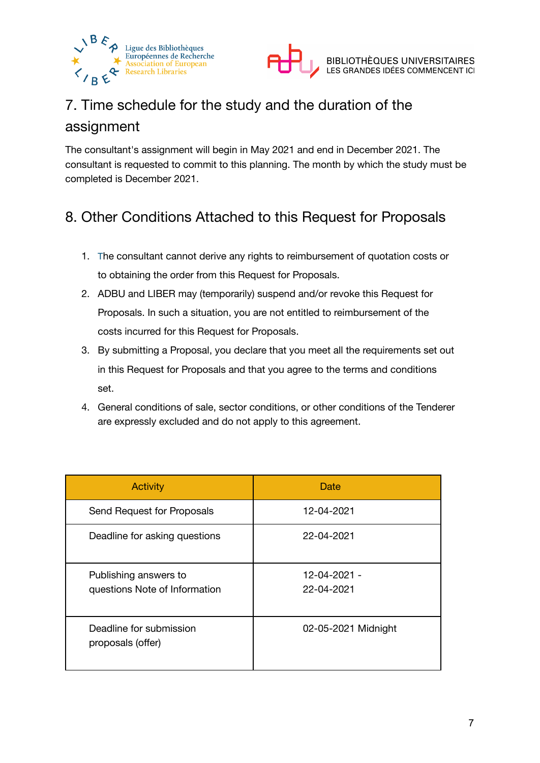



## 7. Time schedule for the study and the duration of the assignment

The consultant's assignment will begin in May 2021 and end in December 2021. The consultant is requested to commit to this planning. The month by which the study must be completed is December 2021.

### 8. Other Conditions Attached to this Request for Proposals

- 1. The consultant cannot derive any rights to reimbursement of quotation costs or to obtaining the order from this Request for Proposals.
- 2. ADBU and LIBER may (temporarily) suspend and/or revoke this Request for Proposals. In such a situation, you are not entitled to reimbursement of the costs incurred for this Request for Proposals.
- 3. By submitting a Proposal, you declare that you meet all the requirements set out in this Request for Proposals and that you agree to the terms and conditions set.
- 4. General conditions of sale, sector conditions, or other conditions of the Tenderer are expressly excluded and do not apply to this agreement.

| <b>Activity</b>                                        | Date                       |
|--------------------------------------------------------|----------------------------|
| Send Request for Proposals                             | 12-04-2021                 |
| Deadline for asking questions                          | 22-04-2021                 |
| Publishing answers to<br>questions Note of Information | 12-04-2021 -<br>22-04-2021 |
| Deadline for submission<br>proposals (offer)           | 02-05-2021 Midnight        |